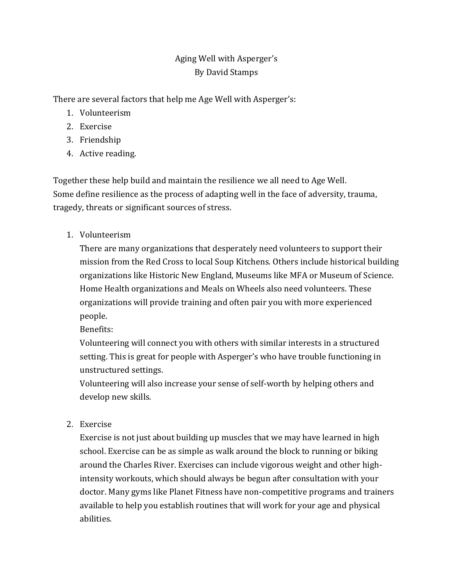## Aging Well with Asperger's By David Stamps

There are several factors that help me Age Well with Asperger's:

- 1. Volunteerism
- 2. Exercise
- 3. Friendship
- 4. Active reading.

Together these help build and maintain the resilience we all need to Age Well. Some define resilience as the process of adapting well in the face of adversity, trauma, tragedy, threats or significant sources of stress.

1. Volunteerism

There are many organizations that desperately need volunteers to support their mission from the Red Cross to local Soup Kitchens. Others include historical building organizations like Historic New England, Museums like MFA or Museum of Science. Home Health organizations and Meals on Wheels also need volunteers. These organizations will provide training and often pair you with more experienced people.

Benefits:

Volunteering will connect you with others with similar interests in a structured setting. This is great for people with Asperger's who have trouble functioning in unstructured settings.

Volunteering will also increase your sense of self-worth by helping others and develop new skills.

2. Exercise

Exercise is not just about building up muscles that we may have learned in high school. Exercise can be as simple as walk around the block to running or biking around the Charles River. Exercises can include vigorous weight and other highintensity workouts, which should always be begun after consultation with your doctor. Many gyms like Planet Fitness have non-competitive programs and trainers available to help you establish routines that will work for your age and physical abilities.